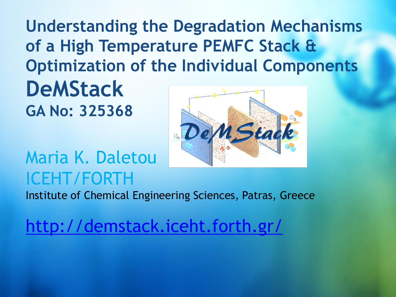**Understanding the Degradation Mechanisms of a High Temperature PEMFC Stack & Optimization of the Individual Components DeMStack GA No: 325368**





#### Institute of Chemical Engineering Sciences, Patras, Greece

[http://demstack.iceht.forth.gr/](http://www.projectwebsite.eu/)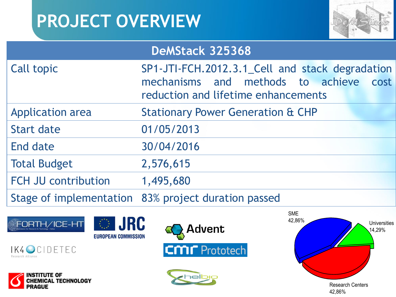# **PROJECT OVERVIEW**



#### **DeMStack 325368**

| <b>Call topic</b>          | SP1-JTI-FCH.2012.3.1_Cell and stack degradation                                  |  |
|----------------------------|----------------------------------------------------------------------------------|--|
|                            | mechanisms and methods to achieve<br>cost<br>reduction and lifetime enhancements |  |
| <b>Application area</b>    | <b>Stationary Power Generation &amp; CHP</b>                                     |  |
| <b>Start date</b>          | 01/05/2013                                                                       |  |
| End date                   | 30/04/2016                                                                       |  |
| <b>Total Budget</b>        | 2,576,615                                                                        |  |
| <b>FCH JU contribution</b> | 1,495,680                                                                        |  |
|                            | Stage of implementation 83% project duration passed                              |  |













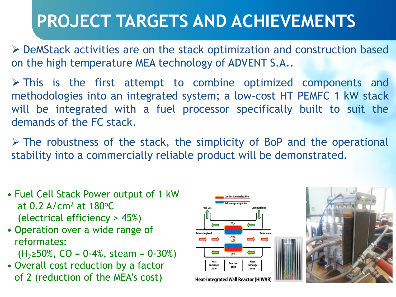DeMStack activities are on the stack optimization and construction based on the high temperature MEA technology of ADVENT S.A..

 $\triangleright$  This is the first attempt to combine optimized components and methodologies into an integrated system; a low-cost HT PEMFC 1 kW stack will be integrated with a fuel processor specifically built to suit the demands of the FC stack.

 $\triangleright$  The robustness of the stack, the simplicity of BoP and the operational stability into a commercially reliable product will be demonstrated.

- Fuel Cell Stack Power output of 1 kW at  $0.2$  A/cm<sup>2</sup> at  $180^{\circ}$ C (electrical efficiency > 45%)
- Operation over a wide range of reformates:

 $(H<sub>2</sub>≥50%, CO = 0-4%, steam = 0-30%)$ 

• Overall cost reduction by a factor of 2 (reduction of the MEA's cost)

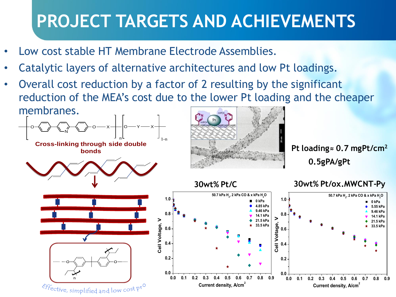- Low cost stable HT Membrane Electrode Assemblies.
- Catalytic layers of alternative architectures and low Pt loadings.
- Overall cost reduction by a factor of 2 resulting by the significant reduction of the MEA's cost due to the lower Pt loading and the cheaper membranes.



**bonds**





**0.5gPA/gPt Pt loading≈ 0.7 mgPt/cm<sup>2</sup>**



#### **30wt% Pt/C 30wt% Pt/ox.MWCNT-Py**



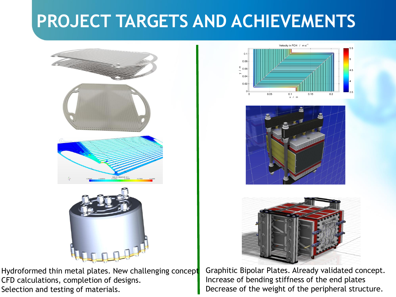

Hydroformed thin metal plates. New challenging concept CFD calculations, completion of designs. Selection and testing of materials.







Graphitic Bipolar Plates. Already validated concept. Increase of bending stiffness of the end plates Decrease of the weight of the peripheral structure.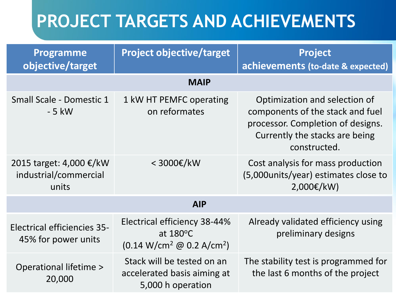| <b>Programme</b><br>objective/target                      | <b>Project objective/target</b>                                                                             | <b>Project</b><br>achievements (to-date & expected)                                                                                                      |  |
|-----------------------------------------------------------|-------------------------------------------------------------------------------------------------------------|----------------------------------------------------------------------------------------------------------------------------------------------------------|--|
| <b>MAIP</b>                                               |                                                                                                             |                                                                                                                                                          |  |
| Small Scale - Domestic 1<br>$-5$ kW                       | 1 kW HT PEMFC operating<br>on reformates                                                                    | Optimization and selection of<br>components of the stack and fuel<br>processor. Completion of designs.<br>Currently the stacks are being<br>constructed. |  |
| 2015 target: 4,000 €/kW<br>industrial/commercial<br>units | < 3000€/kW                                                                                                  | Cost analysis for mass production<br>(5,000 units/year) estimates close to<br>$2,000 \in /kW$                                                            |  |
|                                                           | <b>AIP</b>                                                                                                  |                                                                                                                                                          |  |
| <b>Electrical efficiencies 35-</b><br>45% for power units | Electrical efficiency 38-44%<br>at $180^{\circ}$ C<br>$(0.14 \text{ W/cm}^2 \text{ @ } 0.2 \text{ A/cm}^2)$ | Already validated efficiency using<br>preliminary designs                                                                                                |  |
| Operational lifetime ><br>20,000                          | Stack will be tested on an<br>accelerated basis aiming at<br>5,000 h operation                              | The stability test is programmed for<br>the last 6 months of the project                                                                                 |  |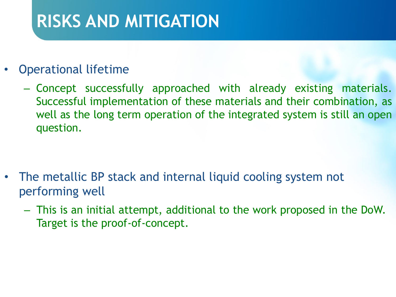#### **RISKS AND MITIGATION**

#### • Operational lifetime

– Concept successfully approached with already existing materials. Successful implementation of these materials and their combination, as well as the long term operation of the integrated system is still an open question.

- The metallic BP stack and internal liquid cooling system not performing well
	- This is an initial attempt, additional to the work proposed in the DoW. Target is the proof-of-concept.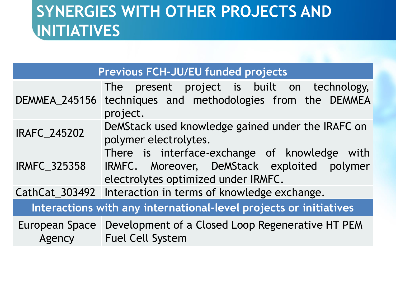#### **SYNERGIES WITH OTHER PROJECTS AND INITIATIVES**

| <b>Previous FCH-JU/EU funded projects</b>                         |                                                                                                                                     |  |
|-------------------------------------------------------------------|-------------------------------------------------------------------------------------------------------------------------------------|--|
| <b>DEMMEA_245156</b>                                              | The present project is built on technology,<br>techniques and methodologies from the DEMMEA<br>project.                             |  |
| <b>IRAFC_245202</b>                                               | DeMStack used knowledge gained under the IRAFC on<br>polymer electrolytes.                                                          |  |
| <b>IRMFC_325358</b>                                               | There is interface-exchange of knowledge with<br>IRMFC. Moreover, DeMStack exploited polymer<br>electrolytes optimized under IRMFC. |  |
|                                                                   | CathCat_303492 Interaction in terms of knowledge exchange.                                                                          |  |
| Interactions with any international-level projects or initiatives |                                                                                                                                     |  |
| Agency                                                            | European Space   Development of a Closed Loop Regenerative HT PEM<br><b>Fuel Cell System</b>                                        |  |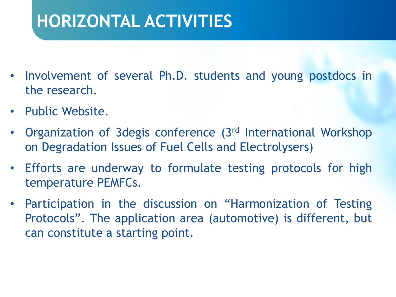## **HORIZONTAL ACTIVITIES**

- Involvement of several Ph.D. students and young postdocs in the research.
- Public Website.
- Organization of 3degis conference (3rd International Workshop on Degradation Issues of Fuel Cells and Electrolysers)
- Efforts are underway to formulate testing protocols for high temperature PEMFCs.
- Participation in the discussion on "Harmonization of Testing Protocols". The application area (automotive) is different, but can constitute a starting point.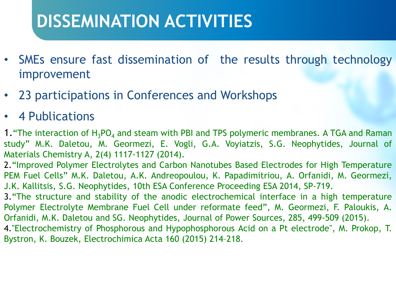#### **DISSEMINATION ACTIVITIES**

- SMEs ensure fast dissemination of the results through technology improvement
- 23 participations in Conferences and Workshops

#### • 4 Publications

1. The interaction of  $H_3PO_4$  and steam with PBI and TPS polymeric membranes. A TGA and Raman study" M.K. Daletou, M. Geormezi, E. Vogli, G.A. Voyiatzis, S.G. Neophytides, Journal of Materials Chemistry A, 2(4) 1117-1127 (2014).

2."Improved Polymer Electrolytes and Carbon Nanotubes Based Electrodes for High Temperature PEM Fuel Cells" M.K. Daletou, A.K. Andreopoulou, K. Papadimitriou, A. Orfanidi, M. Geormezi, J.K. Kallitsis, S.G. Neophytides, 10th ESA Conference Proceeding ESA 2014, SP-719.

3."The structure and stability of the anodic electrochemical interface in a high temperature Polymer Electrolyte Membrane Fuel Cell under reformate feed", M. Geormezi, F. Paloukis, A. Orfanidi, M.K. Daletou and SG. Neophytides, Journal of Power Sources, 285, 499-509 (2015).

4."Electrochemistry of Phosphorous and Hypophosphorous Acid on a Pt electrode", M. Prokop, T. Bystron, K. Bouzek, Electrochimica Acta 160 (2015) 214–218.